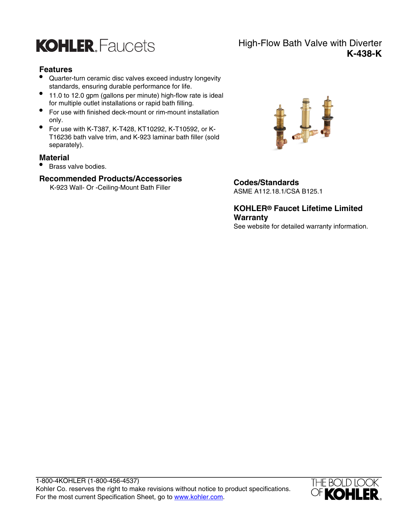

## **Features**

- Quarter-turn ceramic disc valves exceed industry longevity standards, ensuring durable performance for life.
- 11.0 to 12.0 gpm (gallons per minute) high-flow rate is ideal for multiple outlet installations or rapid bath filling.
- For use with finished deck-mount or rim-mount installation only.
- For use with K-T387, K-T428, KT10292, K-T10592, or K-T16236 bath valve trim, and K-923 laminar bath filler (sold separately).

#### **Material**

• Brass valve bodies.

## **Recommended Products/Accessories**

K-923 Wall- Or -Ceiling-Mount Bath Filler **Codes/Standards**



ASME A112.18.1/CSA B125.1

**KOHLER® Faucet Lifetime Limited Warranty** See website for detailed warranty information.



# High-Flow Bath Valve with Diverter **K-438-K**